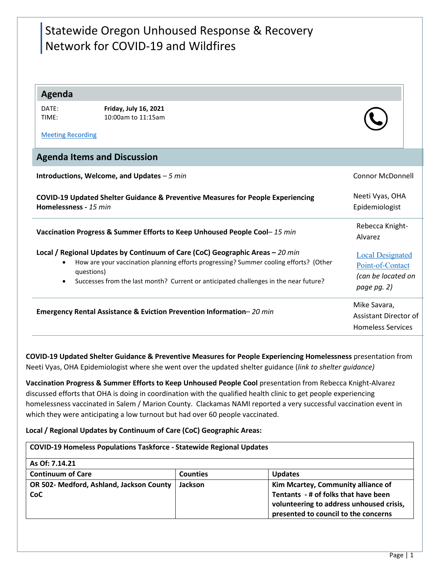# Statewide Oregon Unhoused Response & Recovery Network for COVID-19 and Wildfires

## **Agenda**

| DATE: |  |
|-------|--|
| TIMF: |  |

**Friday, July 16, 2021** 10:00am to 11:15am

[Meeting Recording](https://youtu.be/7n4gP_x29YA)

## **Agenda Items and Discussion**

| Introductions, Welcome, and Updates $-5$ min                                                                                                                                                                                                                                                           | <b>Connor McDonnell</b>                                                          |
|--------------------------------------------------------------------------------------------------------------------------------------------------------------------------------------------------------------------------------------------------------------------------------------------------------|----------------------------------------------------------------------------------|
| <b>COVID-19 Updated Shelter Guidance &amp; Preventive Measures for People Experiencing</b><br>Homelessness - 15 min                                                                                                                                                                                    | Neeti Vyas, OHA<br>Epidemiologist                                                |
| Vaccination Progress & Summer Efforts to Keep Unhoused People Cool-15 min                                                                                                                                                                                                                              | Rebecca Knight-<br>Alvarez                                                       |
| Local / Regional Updates by Continuum of Care (CoC) Geographic Areas - 20 min<br>How are your vaccination planning efforts progressing? Summer cooling efforts? (Other<br>$\bullet$<br>questions)<br>Successes from the last month? Current or anticipated challenges in the near future?<br>$\bullet$ | <b>Local Designated</b><br>Point-of-Contact<br>(can be located on<br>page pg. 2) |
| <b>Emergency Rental Assistance &amp; Eviction Prevention Information–</b> 20 min                                                                                                                                                                                                                       | Mike Savara,<br>Assistant Director of<br><b>Homeless Services</b>                |

**COVID-19 Updated Shelter Guidance & Preventive Measures for People Experiencing Homelessness** presentation from Neeti Vyas, OHA Epidemiologist where she went over the updated shelter guidance (*link to shelter guidance)*

**Vaccination Progress & Summer Efforts to Keep Unhoused People Cool** presentation from Rebecca Knight-Alvarez discussed efforts that OHA is doing in coordination with the qualified health clinic to get people experiencing homelessness vaccinated in Salem / Marion County. Clackamas NAMI reported a very successful vaccination event in which they were anticipating a low turnout but had over 60 people vaccinated.

### **Local / Regional Updates by Continuum of Care (CoC) Geographic Areas:**

| <b>COVID-19 Homeless Populations Taskforce - Statewide Regional Updates</b> |                 |                                          |  |  |
|-----------------------------------------------------------------------------|-----------------|------------------------------------------|--|--|
| As Of: 7.14.21                                                              |                 |                                          |  |  |
| <b>Continuum of Care</b>                                                    | <b>Counties</b> | <b>Updates</b>                           |  |  |
| OR 502- Medford, Ashland, Jackson County                                    | Jackson         | Kim Mcartey, Community alliance of       |  |  |
| <b>CoC</b>                                                                  |                 | Tentants - # of folks that have been     |  |  |
|                                                                             |                 | volunteering to address unhoused crisis, |  |  |
|                                                                             |                 | presented to council to the concerns     |  |  |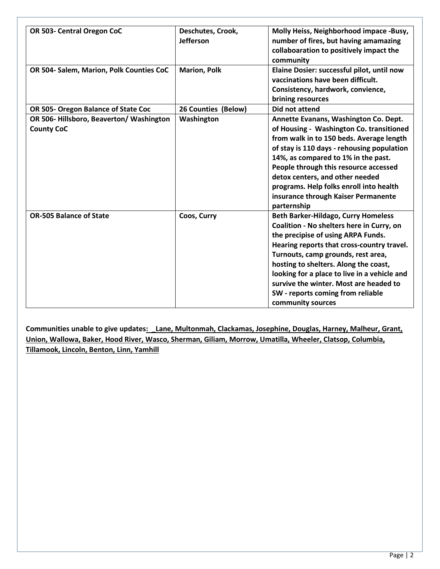| OR 503- Central Oregon CoC                                  | Deschutes, Crook,<br>Jefferson | Molly Heiss, Neighborhood impace -Busy,<br>number of fires, but having amamazing<br>collaboaration to positively impact the<br>community                                                                                                                                                                                                                                                                       |
|-------------------------------------------------------------|--------------------------------|----------------------------------------------------------------------------------------------------------------------------------------------------------------------------------------------------------------------------------------------------------------------------------------------------------------------------------------------------------------------------------------------------------------|
| OR 504- Salem, Marion, Polk Counties CoC                    | <b>Marion, Polk</b>            | Elaine Dosier: successful pilot, until now<br>vaccinations have been difficult.<br>Consistency, hardwork, convience,<br>brining resources                                                                                                                                                                                                                                                                      |
| OR 505- Oregon Balance of State Coc                         | 26 Counties (Below)            | <b>Did not attend</b>                                                                                                                                                                                                                                                                                                                                                                                          |
| OR 506-Hillsboro, Beaverton/Washington<br><b>County CoC</b> | Washington                     | Annette Evanans, Washington Co. Dept.<br>of Housing - Washington Co. transitioned<br>from walk in to 150 beds. Average length<br>of stay is 110 days - rehousing population<br>14%, as compared to 1% in the past.<br>People through this resource accessed<br>detox centers, and other needed<br>programs. Help folks enroll into health<br>insurance through Kaiser Permanente<br>parternship                |
| <b>OR-505 Balance of State</b>                              | Coos, Curry                    | <b>Beth Barker-Hildago, Curry Homeless</b><br>Coalition - No shelters here in Curry, on<br>the precipise of using ARPA Funds.<br>Hearing reports that cross-country travel.<br>Turnouts, camp grounds, rest area,<br>hosting to shelters. Along the coast,<br>looking for a place to live in a vehicle and<br>survive the winter. Most are headed to<br>SW - reports coming from reliable<br>community sources |

**Communities unable to give updates: \_Lane, Multonmah, Clackamas, Josephine, Douglas, Harney, Malheur, Grant, Union, Wallowa, Baker, Hood River, Wasco, Sherman, Giliam, Morrow, Umatilla, Wheeler, Clatsop, Columbia, Tillamook, Lincoln, Benton, Linn, Yamhill**